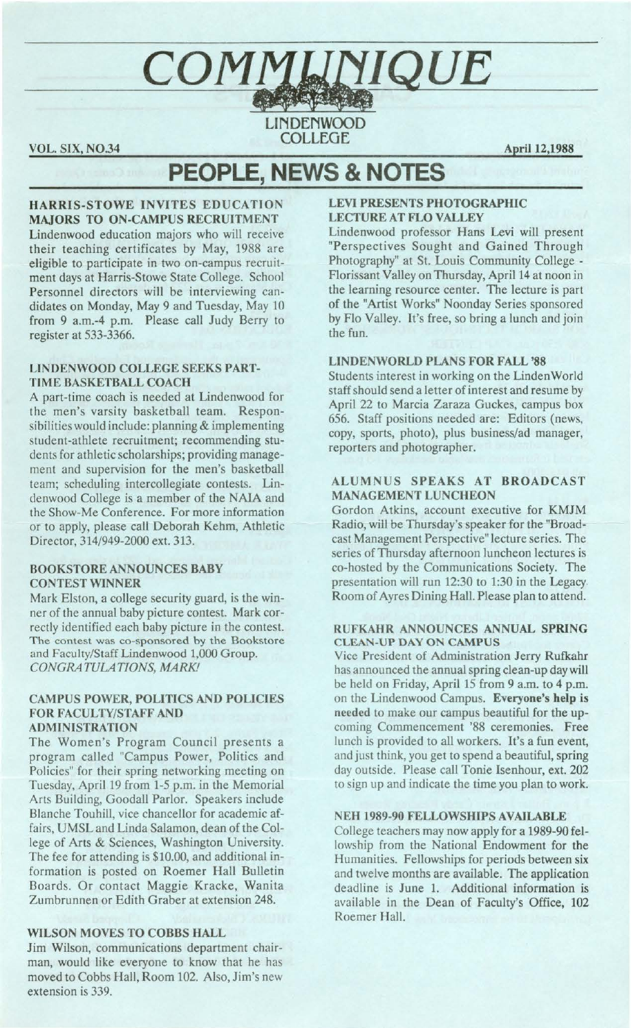COMMUNIQUE **LINDENWOOD** COLLEGE

VOL. SIX, NO.34 **April 12,1988** 

# **PEOPLE, NEWS & NOTES**

## **HARRIS-STOWE INVITES EDUCATION MAJORS TO ON-CAMPUS RECRUITMENT**

Lindenwood education majors who will receive their teaching certificates by May, 1988 are eligible to participate in two on-campus recruitment days at Harris-Stowe State College. School Personnel directors will be interviewing candidates on Monday, May 9 and Tuesday, May 10 from 9 a.m.-4 p.m. Please call Judy Berry to register at 533-3366.

## **LINDENWOOD COLLEGE SEEKS PART-TIME BASKETBALL COACH**

A part-time coach is needed at Lindenwood for the men's varsity basketball team. Responsibilities would include: planning & implementing student-athlete recruitment; recommending students for athletic scholarships; providing management and supervision for the men's basketball team; scheduling intercollegiate contests. Lindenwood College is a member of the NAIA and the Show-Me Conference. For more information or to apply, please call Deborah Kehm, Athletic Director, 314/949-2000 ext. 313.

## **BOOKSTORE ANNOUNCES BABY CONTEST WINNER**

Mark Elston, a college security guard, is the winner of the annual baby picture contest. Mark correctly identified each baby picture in the contest. The contest was co-sponsored by the Bookstore and Faculty/Staff Lindenwood 1,000 Group.  $CONGRATULATIONS, MARK!$ 

## **CAMPUS POWER, POLITICS AND POLICIES FOR FACULTY/STAFF AND ADMINISTRATION**

The Women's Program Council presents a program called "Campus Power, Politics and Policies" for their spring networking meeting on Tuesday, April 19 from 1-5 p.m. in the Memorial Arts Building, Goodall Parlor. Speakers include Blanche Touhill, vice chancellor for academic affairs, UMSL and Linda Salamon, dean of the College of Arts & Sciences, Washington University. The fee for attending is \$10.00, and additional information is posted on Roemer Hall Bulletin Boards. Or contact Maggie Kracke, Wanita Zumbrunnen or Edith Graber at extension 248.

# **WILSON MOVES TO COBBS HALL**

Jim Wilson, communications department chairman, would like everyone to know that he has moved to Cobbs Hall, Room 102. Also, Jim's new extension is 339.

# **LEVI PRESENTS PHOTOGRAPHIC LECTURE AT FLO VALLEY**

Lindenwood professor Hans Levi will present "Perspectives Sought and Gained Through Photography" at St. Louis Community College - Florissant Valley on Thursday, April 14 at noon in the learning resource center. The lecture is part of the "Artist Works" Noonday Series sponsored by Flo Valley. It's free, so bring a lunch and join the fun.

# **LINDENWORLD PLANS FOR FALL '88**

Students interest in working on the Linden World staff should send a letter of interest and resume by April 22 to Marcia Zaraza Guckes, campus box 656. Staff positions needed are: Editors (news, copy, sports, photo), plus business/ad manager, reporters and photographer.

## **ALUMNUS SPEAKS AT BROADCAST MANAGEMENT LUNCHEON**

Gordon Atkins, account executive for KMJM Radio, will be Thursday's speaker for the "Broadcast Management Perspective" lecture series. The series of Thursday afternoon luncheon lectures is co-hosted by the Communications Society. The presentation will run 12:30 to 1:30 in the Legacy. Room of Ayres Dining Hall. Please plan to attend.

## **RUFKAHR ANNOUNCES ANNUAL SPRING CLEAN-UP DAY ON CAMPUS**

Vice President of Administration Jerry Rufkahr has announced the annual spring clean-up day will be held on Friday, April 15 from 9 a.m. to 4 p.m. on the Lindenwood Campus. **Everyone's help is**  needed to make our campus beautiful for the upcoming Commencement '88 ceremonies. Free lunch is provided to all workers. It's a fun event, and just think, you get to spend a beautiful, spring day outside. Please call Tonie Isenhour, ext. 202 to sign up and indicate the time you plan to work.

## **NEH 1989-90 FELLOWSHIPS AVAILABLE**

College teachers may now apply for a 1989-90 fellowship from the National Endowment for the Humanities. Fellowships for periods between six and twelve months are available. The application deadline is June 1. Additional information is available in the Dean of Faculty's Office, 102 Roemer Hall.